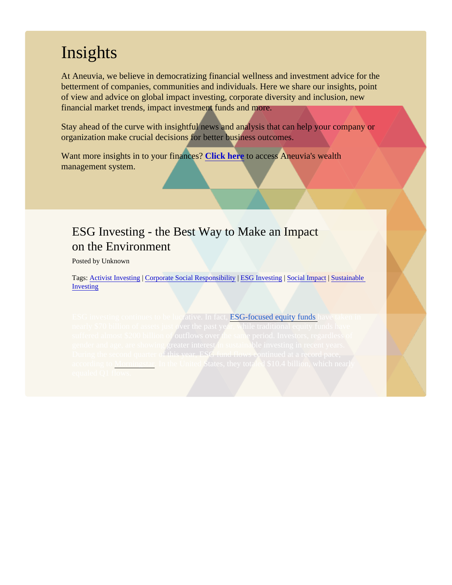## **Insights**

At Aneuvia, we believe in democratizing financial wellness and investment advice for the betterment of companies, communities and individuals. Here we share our insights, point of view and advice on global impact investing, corporate diversity and inclusion, new financial market trends, impact investment funds and more.

Stay ahead of the curve with insightful news and analysis that can help your company or organization make crucial decisions for better business outcomes.

Want more insights in to your finance SPCk here to access Aneuvia's wealth management system.

### ESG Investing - the Best Way to Make an Impact on the Environment

Posted by Unknown

Tags[: Activist Investing](/Blog/uhrc&CategoryId=ukv9) Corporate Social Responsibilit[y](/Blog/uhrc&CategoryId=ukv2) [ESG Investin](/Blog/uhrc&CategoryId=ukv2)g [Social Impac](/Blog/uhrc&CategoryId=ukv7)t [Sustainable](/Blog/uhrc&CategoryId=ukv5) [Investing](/Blog/uhrc&CategoryId=ukv5)

**ESG-focused equity funds**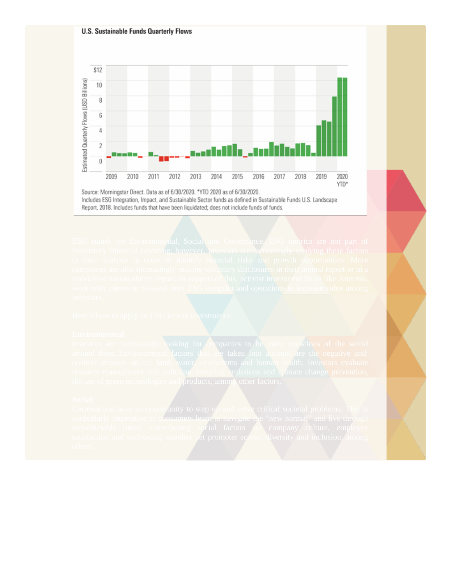### **U.S. Sustainable Funds Quarterly Flows**



Source: Morningstar Direct. Data as of 6/30/2020. \*YTD 2020 as of 6/30/2020. Includes ESG Integration, Impact, and Sustainable Sector funds as defined in Sustainable Funds U.S. Landscape Report, 2018. Includes funds that have been liquidated; does not include funds of funds.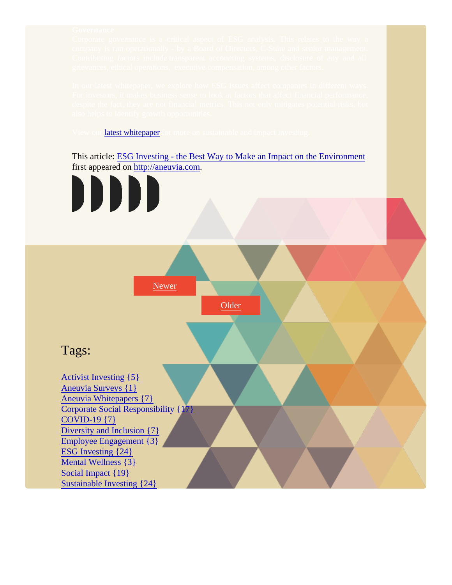latest whitepaper

This article[: ESG Investing - the Best Way to Make an Impact on the Environ](/Blogpost/ukvg/ESG-Investing--the-Best-Way-to-Make-an-Impact-on-the-Environment)ment first appeared ohttp://aneuvia.com

Corporate governance is a critical aspect of ESG analysis. This relates to the way a company is run operationally - by a Board of Directors, C-Suite and Suite and senior management. The senior ma Contributing factors include transparent accounting systems, disclosure of any and all

In our latest whitepaper, we explore how ESG issues affect companies in different ways. For investors, it makes business sense to look at factors that affect financial performance, despite the fact, they are not financial metrics. This not only mitigates potential risks, but





### Tags:

[Activist Investing {5}](/Blog/uhrc&CategoryId=ukv9) [Aneuvia Surveys {1](/Blog/uhrc&CategoryId=ukva)} [Aneuvia Whitepapers {7](/Blog/uhrc&CategoryId=ukv1)} [Corporate Social Responsibility {1](/Blog/uhrc&CategoryId=ukv8)7} [COVID-19 {7}](/Blog/uhrc&CategoryId=uhs5) [Diversity and Inclusion {7](/Blog/uhrc&CategoryId=ukv3)} [Employee Engagement {](/Blog/uhrc&CategoryId=ukv4)3} [ESG Investing {24](/Blog/uhrc&CategoryId=ukv2)} [Mental Wellness {3](/Blog/uhrc&CategoryId=ukv6)} [Social Impact {19}](/Blog/uhrc&CategoryId=ukv7) [Sustainable Investing {24](/Blog/uhrc&CategoryId=ukv5)}